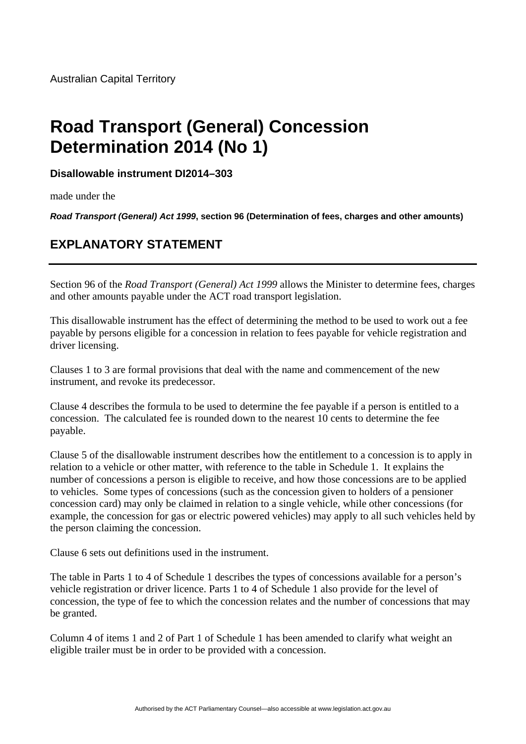## **Road Transport (General) Concession Determination 2014 (No 1)**

**Disallowable instrument DI2014–303**

made under the

*Road Transport (General) Act 1999***, section 96 (Determination of fees, charges and other amounts)** 

## **EXPLANATORY STATEMENT**

Section 96 of the *Road Transport (General) Act 1999* allows the Minister to determine fees, charges and other amounts payable under the ACT road transport legislation.

This disallowable instrument has the effect of determining the method to be used to work out a fee payable by persons eligible for a concession in relation to fees payable for vehicle registration and driver licensing.

Clauses 1 to 3 are formal provisions that deal with the name and commencement of the new instrument, and revoke its predecessor.

Clause 4 describes the formula to be used to determine the fee payable if a person is entitled to a concession. The calculated fee is rounded down to the nearest 10 cents to determine the fee payable.

Clause 5 of the disallowable instrument describes how the entitlement to a concession is to apply in relation to a vehicle or other matter, with reference to the table in Schedule 1. It explains the number of concessions a person is eligible to receive, and how those concessions are to be applied to vehicles. Some types of concessions (such as the concession given to holders of a pensioner concession card) may only be claimed in relation to a single vehicle, while other concessions (for example, the concession for gas or electric powered vehicles) may apply to all such vehicles held by the person claiming the concession.

Clause 6 sets out definitions used in the instrument.

The table in Parts 1 to 4 of Schedule 1 describes the types of concessions available for a person's vehicle registration or driver licence. Parts 1 to 4 of Schedule 1 also provide for the level of concession, the type of fee to which the concession relates and the number of concessions that may be granted.

Column 4 of items 1 and 2 of Part 1 of Schedule 1 has been amended to clarify what weight an eligible trailer must be in order to be provided with a concession.